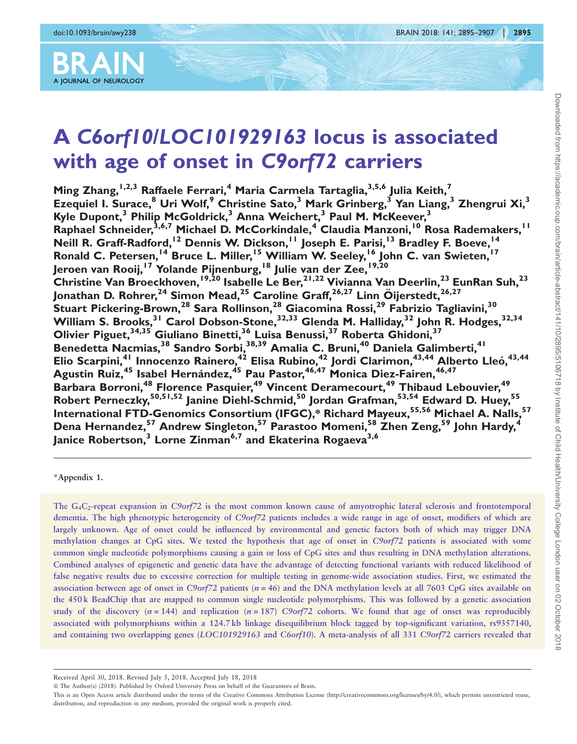

# A C6orf10/LOC101929163 locus is associated with age of onset in C9orf72 carriers

Ming Zhang,  $1,2,3$  Raffaele Ferrari, <sup>4</sup> Maria Carmela Tartaglia,  $3,5,6$  Iulia Keith,<sup>7</sup> Ezequiel I. Surace,<sup>8</sup> Uri Wolf,<sup>9</sup> Christine Sato,<sup>3</sup> Mark Grinberg,<sup>3</sup> Yan Liang,<sup>3</sup> Zhengrui Xi,<sup>3</sup> Kyle Dupont,<sup>3</sup> Philip McGoldrick,<sup>3</sup> Anna Weichert,<sup>3</sup> Paul M. McKeever,<sup>3</sup> Raphael Schneider,<sup>3,6,7</sup> Michael D. McCorkindale,<sup>4</sup> Claudia Manzoni,<sup>10</sup> Rosa Rademakers,<sup>11</sup> Neill R. Graff-Radford, <sup>12</sup> Dennis W. Dickson, <sup>11</sup> Joseph E. Parisi, <sup>13</sup> Bradley F. Boeve, <sup>14</sup> Ronald C. Petersen,<sup>14</sup> Bruce L. Miller,<sup>15</sup> William W. Seeley,<sup>16</sup> John C. van Swieten,<sup>17</sup> Jeroen van Rooij,<sup>17</sup> Yolande Pijnenburg,<sup>18</sup> Julie van der Zee,19,20 Christine Van Broeckhoven,<sup>19,20</sup> Isabelle Le Ber,<sup>21,22</sup> Vivianna Van Deerlin,<sup>23</sup> EunRan Suh,<sup>23</sup> Jonathan D. Rohrer,<sup>24</sup> Simon Mead,<sup>25</sup> Caroline Graff,<sup>26,27</sup> Linn Öijerstedt,<sup>26,27</sup> Stuart Pickering-Brown, $^{28}$  Sara Rollinson, $^{28}$  Giacomina Rossi, $^{29}$  Fabrizio Tagliavini, $^{30}$ William S. Brooks,  $31$  Carol Dobson-Stone,  $32,33$  Glenda M. Halliday,  $32$  John R. Hodges,  $32,34$ Olivier Piguet,<sup>34,35</sup> Giuliano Binetti,<sup>36</sup> Luisa Benussi,<sup>37</sup> Roberta Ghidoni,<sup>37</sup> Benedetta Nacmias,<sup>38</sup> Sandro Sorbi,<sup>38,39</sup> Amalia C. Bruni,<sup>40</sup> Daniela Galimberti,<sup>41</sup> Elio Scarpini,<sup>41</sup> Innocenzo Rainero,<sup>42</sup> Elisa Rubino,<sup>42</sup> Jordi Clarimon,<sup>43,44</sup> Alberto Lleó,<sup>43,44</sup> Agustin Ruiz,<sup>45</sup> Isabel Hernández,<sup>45</sup> Pau Pastor,<sup>46,47</sup> Monica Diez-Fairen,<sup>46,47</sup> Barbara Borroni,<sup>48</sup> Florence Pasquier,<sup>49</sup> Vincent Deramecourt,<sup>49</sup> Thibaud Lebouvier,<sup>49</sup> Robert Perneczky,<sup>50,51,52</sup> Janine Diehl-Schmid,<sup>50</sup> Jordan Grafman,<sup>53,54</sup> Edward D. Huey,<sup>55</sup> International FTD-Genomics Consortium (IFGC),\* Richard Mayeux,<sup>55,56</sup> Michael A. Nalls,<sup>57</sup> Dena Hernandez,<sup>57</sup> Andrew Singleton,<sup>57</sup> Parastoo Momeni,<sup>58</sup> Zhen Zeng,<sup>59</sup> John Hardy,<sup>4</sup> Janice Robertson,<sup>3</sup> Lorne Zinman<sup>6,7</sup> and Ekaterina Rogaeva<sup>3,6</sup>

\*Appendix 1.

The  $G_4C_2$ -repeat expansion in C9orf72 is the most common known cause of amyotrophic lateral sclerosis and frontotemporal dementia. The high phenotypic heterogeneity of C9orf72 patients includes a wide range in age of onset, modifiers of which are largely unknown. Age of onset could be influenced by environmental and genetic factors both of which may trigger DNA methylation changes at CpG sites. We tested the hypothesis that age of onset in C9orf72 patients is associated with some common single nucleotide polymorphisms causing a gain or loss of CpG sites and thus resulting in DNA methylation alterations. Combined analyses of epigenetic and genetic data have the advantage of detecting functional variants with reduced likelihood of false negative results due to excessive correction for multiple testing in genome-wide association studies. First, we estimated the association between age of onset in C9orf72 patients ( $n = 46$ ) and the DNA methylation levels at all 7603 CpG sites available on the 450 k BeadChip that are mapped to common single nucleotide polymorphisms. This was followed by a genetic association study of the discovery  $(n = 144)$  and replication  $(n = 187)$  C9orf72 cohorts. We found that age of onset was reproducibly associated with polymorphisms within a 124.7 kb linkage disequilibrium block tagged by top-significant variation, rs9357140, and containing two overlapping genes (LOC101929163 and C6orf10). A meta-analysis of all 331 C9orf72 carriers revealed that

<sup>-</sup> The Author(s) (2018). Published by Oxford University Press on behalf of the Guarantors of Brain.

This is an Open Access article distributed under the terms of the Creative Commons Attribution License [\(http://creativecommons.org/licenses/by/4.0/](http://creativecommons.org/licenses/by/4.0/)), which permits unrestricted reuse, distribution, and reproduction in any medium, provided the original work is properly cited.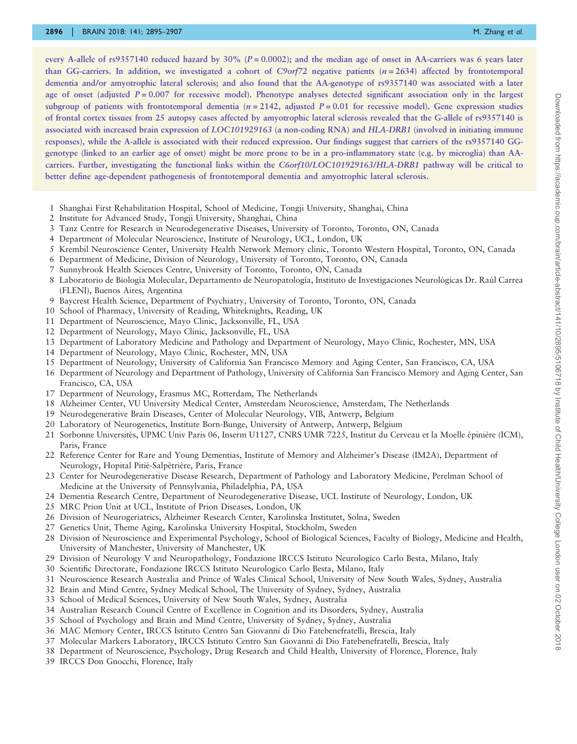Downloaded from https://academic.oup.com/brain/article-abstract/141/10/2895/5106718 by Institute of Child Health/University College London user on 02 October 2018 Downloaded from https://academic.oup.com/brain/article-abstract/141/10/2895/5106718 by Institute of Child Health/University College London user on 02 October 2018

every A-allele of rs9357140 reduced hazard by  $30\%$  ( $P = 0.0002$ ); and the median age of onset in AA-carriers was 6 years later than GG-carriers. In addition, we investigated a cohort of C9orf72 negative patients ( $n = 2634$ ) affected by frontotemporal dementia and/or amyotrophic lateral sclerosis; and also found that the AA-genotype of rs9357140 was associated with a later age of onset (adjusted  $P = 0.007$  for recessive model). Phenotype analyses detected significant association only in the largest subgroup of patients with frontotemporal dementia  $(n = 2142)$ , adjusted  $P = 0.01$  for recessive model). Gene expression studies of frontal cortex tissues from 25 autopsy cases affected by amyotrophic lateral sclerosis revealed that the G-allele of rs9357140 is associated with increased brain expression of LOC101929163 (a non-coding RNA) and HLA-DRB1 (involved in initiating immune responses), while the A-allele is associated with their reduced expression. Our findings suggest that carriers of the rs9357140 GGgenotype (linked to an earlier age of onset) might be more prone to be in a pro-inflammatory state (e.g. by microglia) than AAcarriers. Further, investigating the functional links within the C6orf10/LOC101929163/HLA-DRB1 pathway will be critical to better define age-dependent pathogenesis of frontotemporal dementia and amyotrophic lateral sclerosis.

- 1 Shanghai First Rehabilitation Hospital, School of Medicine, Tongji University, Shanghai, China
- 2 Institute for Advanced Study, Tongji University, Shanghai, China
- 3 Tanz Centre for Research in Neurodegenerative Diseases, University of Toronto, Toronto, ON, Canada
- 4 Department of Molecular Neuroscience, Institute of Neurology, UCL, London, UK
- 5 Krembil Neuroscience Center, University Health Network Memory clinic, Toronto Western Hospital, Toronto, ON, Canada
- 6 Department of Medicine, Division of Neurology, University of Toronto, Toronto, ON, Canada
- 7 Sunnybrook Health Sciences Centre, University of Toronto, Toronto, ON, Canada
- 8 Laboratorio de Biología Molecular, Departamento de Neuropatología, Instituto de Investigaciones Neurológicas Dr. Raúl Carrea (FLENI), Buenos Aires, Argentina
- 9 Baycrest Health Science, Department of Psychiatry, University of Toronto, Toronto, ON, Canada
- 10 School of Pharmacy, University of Reading, Whiteknights, Reading, UK
- 11 Department of Neuroscience, Mayo Clinic, Jacksonville, FL, USA
- 12 Department of Neurology, Mayo Clinic, Jacksonville, FL, USA
- 13 Department of Laboratory Medicine and Pathology and Department of Neurology, Mayo Clinic, Rochester, MN, USA
- 14 Department of Neurology, Mayo Clinic, Rochester, MN, USA
- 15 Department of Neurology, University of California San Francisco Memory and Aging Center, San Francisco, CA, USA
- 16 Department of Neurology and Department of Pathology, University of California San Francisco Memory and Aging Center, San Francisco, CA, USA
- 17 Department of Neurology, Erasmus MC, Rotterdam, The Netherlands
- 18 Alzheimer Center, VU University Medical Center, Amsterdam Neuroscience, Amsterdam, The Netherlands
- 19 Neurodegenerative Brain Diseases, Center of Molecular Neurology, VIB, Antwerp, Belgium
- 20 Laboratory of Neurogenetics, Institute Born-Bunge, University of Antwerp, Antwerp, Belgium
- 21 Sorbonne Universités, UPMC Univ Paris 06, Inserm U1127, CNRS UMR 7225, Institut du Cerveau et la Moelle épinière (ICM), Paris, France
- 22 Reference Center for Rare and Young Dementias, Institute of Memory and Alzheimer's Disease (IM2A), Department of Neurology, Hopital Pitié-Salpêtrière, Paris, France
- 23 Center for Neurodegenerative Disease Research, Department of Pathology and Laboratory Medicine, Perelman School of Medicine at the University of Pennsylvania, Philadelphia, PA, USA
- 24 Dementia Research Centre, Department of Neurodegenerative Disease, UCL Institute of Neurology, London, UK
- 25 MRC Prion Unit at UCL, Institute of Prion Diseases, London, UK
- 26 Division of Neurogeriatrics, Alzheimer Research Center, Karolinska Institutet, Solna, Sweden
- 27 Genetics Unit, Theme Aging, Karolinska University Hospital, Stockholm, Sweden
- 28 Division of Neuroscience and Experimental Psychology, School of Biological Sciences, Faculty of Biology, Medicine and Health, University of Manchester, University of Manchester, UK
- 29 Division of Neurology V and Neuropathology, Fondazione IRCCS Istituto Neurologico Carlo Besta, Milano, Italy
- 30 Scientific Directorate, Fondazione IRCCS Istituto Neurologico Carlo Besta, Milano, Italy
- 31 Neuroscience Research Australia and Prince of Wales Clinical School, University of New South Wales, Sydney, Australia
- 32 Brain and Mind Centre, Sydney Medical School, The University of Sydney, Sydney, Australia
- 33 School of Medical Sciences, University of New South Wales, Sydney, Australia
- 34 Australian Research Council Centre of Excellence in Cognition and its Disorders, Sydney, Australia
- 35 School of Psychology and Brain and Mind Centre, University of Sydney, Sydney, Australia
- 36 MAC Memory Center, IRCCS Istituto Centro San Giovanni di Dio Fatebenefratelli, Brescia, Italy
- 37 Molecular Markers Laboratory, IRCCS Istituto Centro San Giovanni di Dio Fatebenefratelli, Brescia, Italy
- 38 Department of Neuroscience, Psychology, Drug Research and Child Health, University of Florence, Florence, Italy
- 39 IRCCS Don Gnocchi, Florence, Italy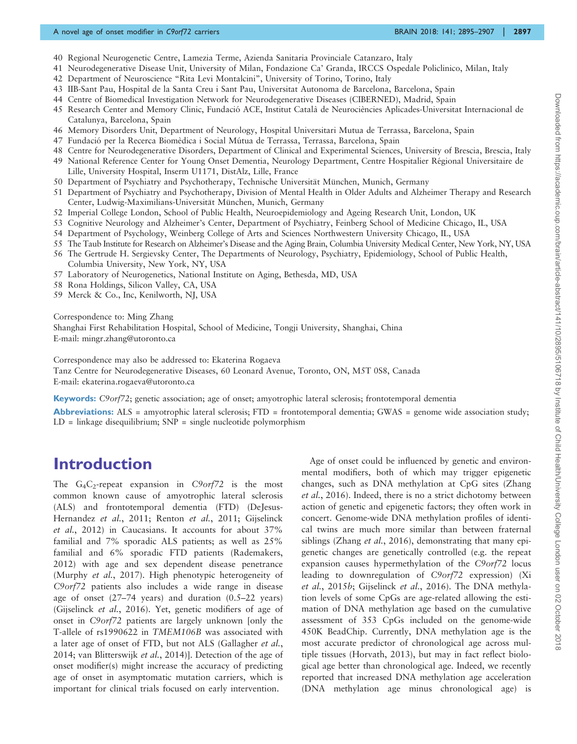- 40 Regional Neurogenetic Centre, Lamezia Terme, Azienda Sanitaria Provinciale Catanzaro, Italy
- 41 Neurodegenerative Disease Unit, University of Milan, Fondazione Ca' Granda, IRCCS Ospedale Policlinico, Milan, Italy
- 42 Department of Neuroscience "Rita Levi Montalcini", University of Torino, Torino, Italy
- 43 IIB-Sant Pau, Hospital de la Santa Creu i Sant Pau, Universitat Autonoma de Barcelona, Barcelona, Spain
- 44 Centre of Biomedical Investigation Network for Neurodegenerative Diseases (CIBERNED), Madrid, Spain
- 45 Research Center and Memory Clinic, Fundació ACE, Institut Català de Neurociències Aplicades-Universitat Internacional de Catalunya, Barcelona, Spain
- 46 Memory Disorders Unit, Department of Neurology, Hospital Universitari Mutua de Terrassa, Barcelona, Spain
- 47 Fundació per la Recerca Biomèdica i Social Mútua de Terrassa, Terrassa, Barcelona, Spain
- 48 Centre for Neurodegenerative Disorders, Department of Clinical and Experimental Sciences, University of Brescia, Brescia, Italy
- 49 National Reference Center for Young Onset Dementia, Neurology Department, Centre Hospitalier Régional Universitaire de Lille, University Hospital, Inserm U1171, DistAlz, Lille, France
- 50 Department of Psychiatry and Psychotherapy, Technische Universität München, Munich, Germany
- 51 Department of Psychiatry and Psychotherapy, Division of Mental Health in Older Adults and Alzheimer Therapy and Research Center, Ludwig-Maximilians-Universität München, Munich, Germany
- 52 Imperial College London, School of Public Health, Neuroepidemiology and Ageing Research Unit, London, UK
- 53 Cognitive Neurology and Alzheimer's Center, Department of Psychiatry, Feinberg School of Medicine Chicago, IL, USA
- 54 Department of Psychology, Weinberg College of Arts and Sciences Northwestern University Chicago, IL, USA
- 55 The Taub Institute for Research on Alzheimer's Disease and the Aging Brain, Columbia University Medical Center, New York, NY, USA
- 56 The Gertrude H. Sergievsky Center, The Departments of Neurology, Psychiatry, Epidemiology, School of Public Health, Columbia University, New York, NY, USA
- 57 Laboratory of Neurogenetics, National Institute on Aging, Bethesda, MD, USA
- 58 Rona Holdings, Silicon Valley, CA, USA
- 59 Merck & Co., Inc, Kenilworth, NJ, USA

Correspondence to: Ming Zhang

Shanghai First Rehabilitation Hospital, School of Medicine, Tongji University, Shanghai, China E-mail: mingr.zhang@utoronto.ca

Correspondence may also be addressed to: Ekaterina Rogaeva

Tanz Centre for Neurodegenerative Diseases, 60 Leonard Avenue, Toronto, ON, M5T 0S8, Canada E-mail: ekaterina.rogaeva@utoronto.ca

Keywords: C9orf72; genetic association; age of onset; amyotrophic lateral sclerosis; frontotemporal dementia

**Abbreviations:** ALS = amyotrophic lateral sclerosis; FTD = frontotemporal dementia; GWAS = genome wide association study;  $LD =$  linkage disequilibrium;  $SNP =$  single nucleotide polymorphism

### Introduction

The  $G_4C_2$ -repeat expansion in  $C9$ orf72 is the most common known cause of amyotrophic lateral sclerosis (ALS) and frontotemporal dementia (FTD) ([DeJesus-](#page-11-0)[Hernandez](#page-11-0) et al., 2011; [Renton](#page-12-0) et al., 2011; [Gijselinck](#page-12-0) et al.[, 2012\)](#page-12-0) in Caucasians. It accounts for about 37% familial and 7% sporadic ALS patients; as well as 25% familial and 6% sporadic FTD patients ([Rademakers,](#page-12-0) [2012\)](#page-12-0) with age and sex dependent disease penetrance ([Murphy](#page-12-0) et al., 2017). High phenotypic heterogeneity of C9orf72 patients also includes a wide range in disease age of onset (27–74 years) and duration (0.5–22 years) ([Gijselinck](#page-12-0) et al., 2016). Yet, genetic modifiers of age of onset in C9orf72 patients are largely unknown [only the T-allele of rs1990622 in TMEM106B was associated with a later age of onset of FTD, but not ALS [\(Gallagher](#page-12-0) et al., [2014; van Blitterswijk](#page-12-0) et al., 2014)]. Detection of the age of onset modifier(s) might increase the accuracy of predicting age of onset in asymptomatic mutation carriers, which is important for clinical trials focused on early intervention.

Age of onset could be influenced by genetic and environmental modifiers, both of which may trigger epigenetic changes, such as DNA methylation at CpG sites ([Zhang](#page-12-0) et al.[, 2016](#page-12-0)). Indeed, there is no a strict dichotomy between action of genetic and epigenetic factors; they often work in concert. Genome-wide DNA methylation profiles of identical twins are much more similar than between fraternal siblings [\(Zhang](#page-12-0) et al., 2016), demonstrating that many epigenetic changes are genetically controlled (e.g. the repeat expansion causes hypermethylation of the C9orf72 locus leading to downregulation of C9orf72 expression) ([Xi](#page-12-0) et al.[, 2015](#page-12-0)b; [Gijselinck](#page-12-0) et al., 2016). The DNA methylation levels of some CpGs are age-related allowing the estimation of DNA methylation age based on the cumulative assessment of 353 CpGs included on the genome-wide 450K BeadChip. Currently, DNA methylation age is the most accurate predictor of chronological age across multiple tissues [\(Horvath, 2013\)](#page-12-0), but may in fact reflect biological age better than chronological age. Indeed, we recently reported that increased DNA methylation age acceleration (DNA methylation age minus chronological age) is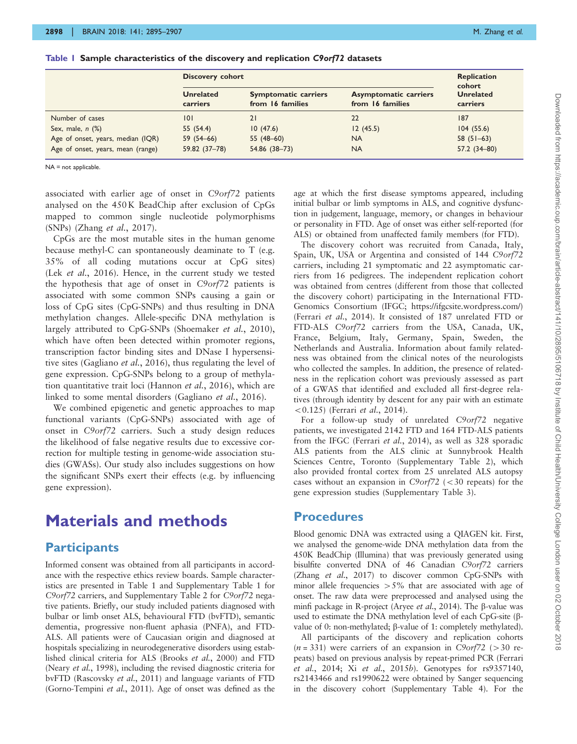|                                   | <b>Discovery cohort</b>      |                                                 |                                                  | <b>Replication</b><br>cohort |
|-----------------------------------|------------------------------|-------------------------------------------------|--------------------------------------------------|------------------------------|
|                                   | <b>Unrelated</b><br>carriers | <b>Symptomatic carriers</b><br>from 16 families | <b>Asymptomatic carriers</b><br>from 16 families | <b>Unrelated</b><br>carriers |
| Number of cases                   | 0                            | 21                                              | 22                                               | 187                          |
| Sex, male, $n$ $(\%)$             | 55(54.4)                     | 10(47.6)                                        | 12(45.5)                                         | 104(55.6)                    |
| Age of onset, years, median (IQR) | $59(54-66)$                  | 55 $(48-60)$                                    | <b>NA</b>                                        | 58 $(51-63)$                 |
| Age of onset, years, mean (range) | 59.82 (37-78)                | 54.86 (38-73)                                   | <b>NA</b>                                        | 57.2 (34-80)                 |

#### <span id="page-3-0"></span>Table 1 Sample characteristics of the discovery and replication C9orf72 datasets

NA = not applicable.

associated with earlier age of onset in C9orf72 patients analysed on the 450 K BeadChip after exclusion of CpGs mapped to common single nucleotide polymorphisms (SNPs) (Zhang et al.[, 2017](#page-12-0)).

CpGs are the most mutable sites in the human genome because methyl-C can spontaneously deaminate to T (e.g. 35% of all coding mutations occur at CpG sites) (Lek et al.[, 2016\)](#page-12-0). Hence, in the current study we tested the hypothesis that age of onset in C9orf72 patients is associated with some common SNPs causing a gain or loss of CpG sites (CpG-SNPs) and thus resulting in DNA methylation changes. Allele-specific DNA methylation is largely attributed to CpG-SNPs ([Shoemaker](#page-12-0) *et al.*, 2010), which have often been detected within promoter regions, transcription factor binding sites and DNase I hypersensitive sites ([Gagliano](#page-12-0) et al., 2016), thus regulating the level of gene expression. CpG-SNPs belong to a group of methylation quantitative trait loci ([Hannon](#page-12-0) et al., 2016), which are linked to some mental disorders ([Gagliano](#page-12-0) et al., 2016).

We combined epigenetic and genetic approaches to map functional variants (CpG-SNPs) associated with age of onset in C9orf72 carriers. Such a study design reduces the likelihood of false negative results due to excessive correction for multiple testing in genome-wide association studies (GWASs). Our study also includes suggestions on how the significant SNPs exert their effects (e.g. by influencing gene expression).

### Materials and methods

#### **Participants**

Informed consent was obtained from all participants in accordance with the respective ethics review boards. Sample characteristics are presented in Table 1 and [Supplementary Table 1](https://academic.oup.com/brainj/article-lookup/doi/10.1093/brainj/awy238#supplementary-data) for C9orf72 carriers, and [Supplementary Table 2](https://academic.oup.com/brainj/article-lookup/doi/10.1093/brainj/awy238#supplementary-data) for C9orf72 negative patients. Briefly, our study included patients diagnosed with bulbar or limb onset ALS, behavioural FTD (bvFTD), semantic dementia, progressive non-fluent aphasia (PNFA), and FTD-ALS. All patients were of Caucasian origin and diagnosed at hospitals specializing in neurodegenerative disorders using established clinical criteria for ALS ([Brooks](#page-11-0) et al., 2000) and FTD (Neary et al.[, 1998](#page-12-0)), including the revised diagnostic criteria for bvFTD [\(Rascovsky](#page-12-0) et al., 2011) and language variants of FTD [\(Gorno-Tempini](#page-12-0) et al., 2011). Age of onset was defined as the

age at which the first disease symptoms appeared, including initial bulbar or limb symptoms in ALS, and cognitive dysfunction in judgement, language, memory, or changes in behaviour or personality in FTD. Age of onset was either self-reported (for ALS) or obtained from unaffected family members (for FTD).

The discovery cohort was recruited from Canada, Italy, Spain, UK, USA or Argentina and consisted of 144 C9orf72 carriers, including 21 symptomatic and 22 asymptomatic carriers from 16 pedigrees. The independent replication cohort was obtained from centres (different from those that collected the discovery cohort) participating in the International FTD-Genomics Consortium (IFGC; [https://ifgcsite.wordpress.com/\)](https://ifgcsite.wordpress.com/) (Ferrari et al.[, 2014](#page-12-0)). It consisted of 187 unrelated FTD or FTD-ALS C9orf72 carriers from the USA, Canada, UK, France, Belgium, Italy, Germany, Spain, Sweden, the Netherlands and Australia. Information about family relatedness was obtained from the clinical notes of the neurologists who collected the samples. In addition, the presence of relatedness in the replication cohort was previously assessed as part of a GWAS that identified and excluded all first-degree relatives (through identity by descent for any pair with an estimate  $<$  0.125) (Ferrari et al.[, 2014\)](#page-12-0).

For a follow-up study of unrelated C9orf72 negative patients, we investigated 2142 FTD and 164 FTD-ALS patients from the IFGC ([Ferrari](#page-12-0) et al., 2014), as well as 328 sporadic ALS patients from the ALS clinic at Sunnybrook Health Sciences Centre, Toronto ([Supplementary Table 2](https://academic.oup.com/brainj/article-lookup/doi/10.1093/brainj/awy238#supplementary-data)), which also provided frontal cortex from 25 unrelated ALS autopsy cases without an expansion in  $C9orf72$  (<30 repeats) for the gene expression studies [\(Supplementary Table 3\)](https://academic.oup.com/brainj/article-lookup/doi/10.1093/brainj/awy238#supplementary-data).

#### **Procedures**

Blood genomic DNA was extracted using a QIAGEN kit. First, we analysed the genome-wide DNA methylation data from the 450K BeadChip (Illumina) that was previously generated using bisulfite converted DNA of 46 Canadian C9orf72 carriers (Zhang et al.[, 2017\)](#page-12-0) to discover common CpG-SNPs with minor allele frequencies  $>5\%$  that are associated with age of onset. The raw data were preprocessed and analysed using the minfi package in R-project (Aryee *et al.*[, 2014\)](#page-11-0). The  $\beta$ -value was used to estimate the DNA methylation level of each CpG-site (bvalue of 0: non-methylated; b-value of 1: completely methylated).

All participants of the discovery and replication cohorts  $(n = 331)$  were carriers of an expansion in C9orf72 (> 30 repeats) based on previous analysis by repeat-primed PCR [\(Ferrari](#page-12-0) et al.[, 2014](#page-12-0); Xi et al.[, 2015](#page-12-0)b). Genotypes for rs9357140, rs2143466 and rs1990622 were obtained by Sanger sequencing in the discovery cohort ([Supplementary Table 4](https://academic.oup.com/brainj/article-lookup/doi/10.1093/brainj/awy238#supplementary-data)). For the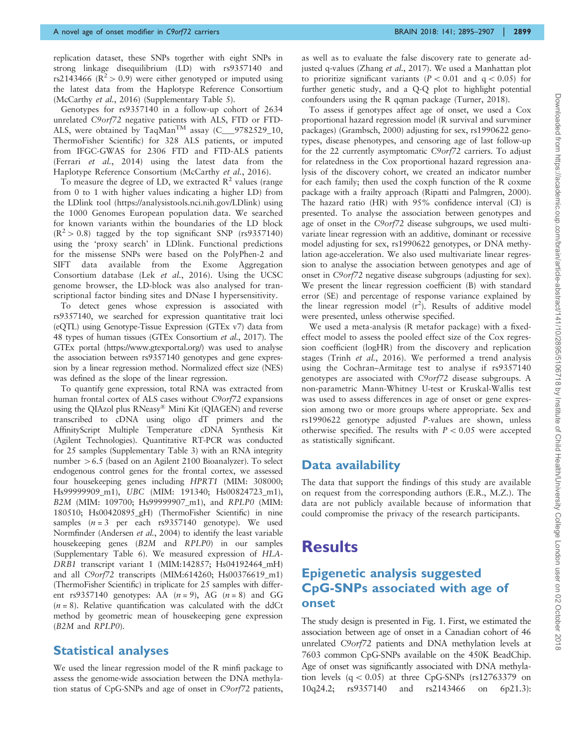replication dataset, these SNPs together with eight SNPs in strong linkage disequilibrium (LD) with rs9357140 and rs2143466 ( $\mathbb{R}^2$  > 0.9) were either genotyped or imputed using the latest data from the Haplotype Reference Consortium [\(McCarthy](#page-12-0) et al., 2016) ([Supplementary Table 5\)](https://academic.oup.com/brainj/article-lookup/doi/10.1093/brainj/awy238#supplementary-data).

Genotypes for rs9357140 in a follow-up cohort of 2634 unrelated C9orf72 negative patients with ALS, FTD or FTD-ALS, were obtained by TaqMan<sup>TM</sup> assay (C\_\_9782529\_10, ThermoFisher Scientific) for 328 ALS patients, or imputed from IFGC-GWAS for 2306 FTD and FTD-ALS patients (Ferrari et al.[, 2014\)](#page-12-0) using the latest data from the Haplotype Reference Consortium [\(McCarthy](#page-12-0) et al., 2016).

To measure the degree of LD, we extracted  $\mathbb{R}^2$  values (range from 0 to 1 with higher values indicating a higher LD) from the LDlink tool [\(https://analysistools.nci.nih.gov/LDlink\)](https://analysistools.nci.nih.gov/LDlink) using the 1000 Genomes European population data. We searched for known variants within the boundaries of the LD block  $(R<sup>2</sup> > 0.8)$  tagged by the top significant SNP (rs9357140) using the 'proxy search' in LDlink. Functional predictions for the missense SNPs were based on the PolyPhen-2 and SIFT data available from the Exome Aggregation Consortium database (Lek et al.[, 2016\)](#page-12-0). Using the UCSC genome browser, the LD-block was also analysed for transcriptional factor binding sites and DNase I hypersensitivity.

To detect genes whose expression is associated with rs9357140, we searched for expression quantitative trait loci (eQTL) using Genotype-Tissue Expression (GTEx v7) data from 48 types of human tissues [\(GTEx Consortium](#page-11-0) et al., 2017). The GTEx portal [\(https://www.gtexportal.org/\)](https://www.gtexportal.org/) was used to analyse the association between rs9357140 genotypes and gene expression by a linear regression method. Normalized effect size (NES) was defined as the slope of the linear regression.

To quantify gene expression, total RNA was extracted from human frontal cortex of ALS cases without C9orf72 expansions using the QIAzol plus RNeasy® Mini Kit (QIAGEN) and reverse transcribed to cDNA using oligo dT primers and the AffinityScript Multiple Temperature cDNA Synthesis Kit (Agilent Technologies). Quantitative RT-PCR was conducted for 25 samples [\(Supplementary Table 3\)](https://academic.oup.com/brainj/article-lookup/doi/10.1093/brainj/awy238#supplementary-data) with an RNA integrity number  $> 6.5$  (based on an Agilent 2100 Bioanalyzer). To select endogenous control genes for the frontal cortex, we assessed four housekeeping genes including HPRT1 (MIM: 308000; Hs99999909\_m1), UBC (MIM: 191340; Hs00824723\_m1), B2M (MIM: 109700; Hs99999907\_m1), and RPLP0 (MIM: 180510; Hs00420895\_gH) (ThermoFisher Scientific) in nine samples  $(n = 3$  per each rs9357140 genotype). We used Normfinder [\(Andersen](#page-11-0) et al., 2004) to identify the least variable housekeeping genes (B2M and RPLP0) in our samples [\(Supplementary Table 6\)](https://academic.oup.com/brainj/article-lookup/doi/10.1093/brainj/awy238#supplementary-data). We measured expression of HLA-DRB1 transcript variant 1 (MIM:142857; Hs04192464\_mH) and all C9orf72 transcripts (MIM:614260; Hs00376619\_m1) (ThermoFisher Scientific) in triplicate for 25 samples with different rs9357140 genotypes: AA  $(n = 9)$ , AG  $(n = 8)$  and GG  $(n = 8)$ . Relative quantification was calculated with the ddCt method by geometric mean of housekeeping gene expression (B2M and RPLP0).

#### Statistical analyses

We used the linear regression model of the R minfi package to assess the genome-wide association between the DNA methylation status of CpG-SNPs and age of onset in C9orf72 patients, as well as to evaluate the false discovery rate to generate ad-justed q-values [\(Zhang](#page-12-0) et al., 2017). We used a Manhattan plot to prioritize significant variants ( $P < 0.01$  and  $q < 0.05$ ) for further genetic study, and a Q-Q plot to highlight potential confounders using the R qqman package [\(Turner, 2018\)](#page-12-0).

To assess if genotypes affect age of onset, we used a Cox proportional hazard regression model (R survival and survminer packages) ([Grambsch, 2000](#page-12-0)) adjusting for sex, rs1990622 genotypes, disease phenotypes, and censoring age of last follow-up for the 22 currently asymptomatic C9orf72 carriers. To adjust for relatedness in the Cox proportional hazard regression analysis of the discovery cohort, we created an indicator number for each family; then used the coxph function of the R coxme package with a frailty approach [\(Ripatti and Palmgren, 2000](#page-12-0)). The hazard ratio (HR) with 95% confidence interval (CI) is presented. To analyse the association between genotypes and age of onset in the C9orf72 disease subgroups, we used multivariate linear regression with an additive, dominant or recessive model adjusting for sex, rs1990622 genotypes, or DNA methylation age-acceleration. We also used multivariate linear regression to analyse the association between genotypes and age of onset in C9orf72 negative disease subgroups (adjusting for sex). We present the linear regression coefficient (B) with standard error (SE) and percentage of response variance explained by the linear regression model  $(r^2)$ . Results of additive model were presented, unless otherwise specified.

We used a meta-analysis (R metafor package) with a fixedeffect model to assess the pooled effect size of the Cox regression coefficient (logHR) from the discovery and replication stages (Trinh et al.[, 2016](#page-12-0)). We performed a trend analysis using the Cochran–Armitage test to analyse if rs9357140 genotypes are associated with C9orf72 disease subgroups. A non-parametric Mann-Whitney U-test or Kruskal-Wallis test was used to assess differences in age of onset or gene expression among two or more groups where appropriate. Sex and rs1990622 genotype adjusted P-values are shown, unless otherwise specified. The results with  $P < 0.05$  were accepted as statistically significant.

#### Data availability

The data that support the findings of this study are available on request from the corresponding authors (E.R., M.Z.). The data are not publicly available because of information that could compromise the privacy of the research participants.

### **Results**

#### Epigenetic analysis suggested CpG-SNPs associated with age of onset

The study design is presented in [Fig. 1](#page-5-0). First, we estimated the association between age of onset in a Canadian cohort of 46 unrelated C9orf72 patients and DNA methylation levels at 7603 common CpG-SNPs available on the 450K BeadChip. Age of onset was significantly associated with DNA methylation levels  $(q < 0.05)$  at three CpG-SNPs (rs12763379 on 10q24.2; rs9357140 and rs2143466 on 6p21.3):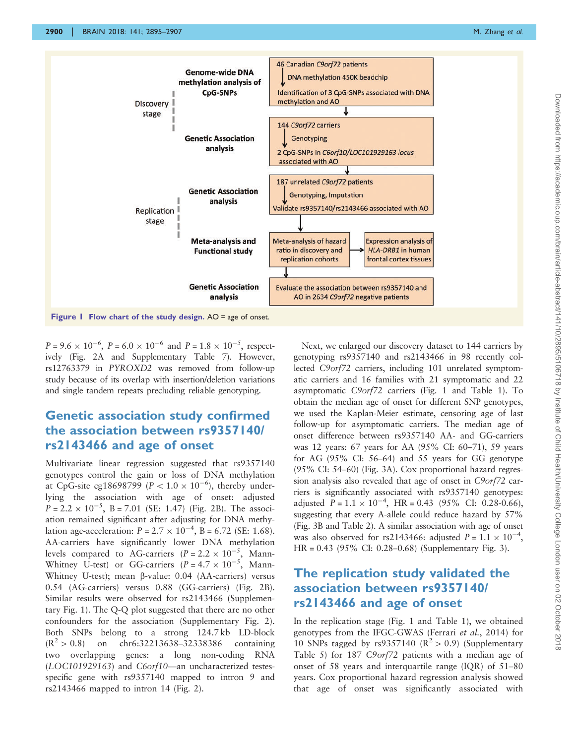<span id="page-5-0"></span>

 $P = 9.6 \times 10^{-6}$ ,  $P = 6.0 \times 10^{-6}$  and  $P = 1.8 \times 10^{-5}$ , respectively ([Fig. 2A](#page-6-0) and [Supplementary Table 7\)](https://academic.oup.com/brainj/article-lookup/doi/10.1093/brainj/awy238#supplementary-data). However, rs12763379 in PYROXD2 was removed from follow-up study because of its overlap with insertion/deletion variations and single tandem repeats precluding reliable genotyping.

#### Genetic association study confirmed the association between rs9357140/ rs2143466 and age of onset

Multivariate linear regression suggested that rs9357140 genotypes control the gain or loss of DNA methylation at CpG-site cg18698799 ( $P < 1.0 \times 10^{-6}$ ), thereby underlying the association with age of onset: adjusted  $P = 2.2 \times 10^{-5}$ , B = 7.01 (SE: 1.47) [\(Fig. 2](#page-6-0)B). The association remained significant after adjusting for DNA methylation age-acceleration:  $P = 2.7 \times 10^{-4}$ ,  $B = 6.72$  (SE: 1.68). AA-carriers have significantly lower DNA methylation levels compared to AG-carriers ( $P = 2.2 \times 10^{-5}$ , Mann-Whitney U-test) or GG-carriers  $(P = 4.7 \times 10^{-5}$ , Mann-Whitney U-test); mean b-value: 0.04 (AA-carriers) versus 0.54 (AG-carriers) versus 0.88 (GG-carriers) ([Fig. 2B](#page-6-0)). Similar results were observed for rs2143466 ([Supplemen](https://academic.oup.com/brainj/article-lookup/doi/10.1093/brainj/awy238#supplementary-data)[tary Fig. 1\)](https://academic.oup.com/brainj/article-lookup/doi/10.1093/brainj/awy238#supplementary-data). The Q-Q plot suggested that there are no other confounders for the association ([Supplementary Fig. 2\)](https://academic.oup.com/brainj/article-lookup/doi/10.1093/brainj/awy238#supplementary-data). Both SNPs belong to a strong 124.7 kb LD-block  $(R<sup>2</sup> > 0.8)$  on chr6:32213638–32338386 containing two overlapping genes: a long non-coding RNA (LOC101929163) and C6orf10—an uncharacterized testesspecific gene with rs9357140 mapped to intron 9 and rs2143466 mapped to intron 14 [\(Fig. 2](#page-6-0)).

Next, we enlarged our discovery dataset to 144 carriers by genotyping rs9357140 and rs2143466 in 98 recently collected C9orf72 carriers, including 101 unrelated symptomatic carriers and 16 families with 21 symptomatic and 22 asymptomatic C9orf72 carriers (Fig. 1 and [Table 1\)](#page-3-0). To obtain the median age of onset for different SNP genotypes, we used the Kaplan-Meier estimate, censoring age of last follow-up for asymptomatic carriers. The median age of onset difference between rs9357140 AA- and GG-carriers was 12 years: 67 years for AA (95% CI: 60–71), 59 years for AG (95% CI: 56–64) and 55 years for GG genotype (95% CI: 54–60) [\(Fig. 3](#page-7-0)A). Cox proportional hazard regression analysis also revealed that age of onset in C9orf72 carriers is significantly associated with rs9357140 genotypes: adjusted  $P = 1.1 \times 10^{-4}$ , HR = 0.43 (95% CI: 0.28-0.66), suggesting that every A-allele could reduce hazard by 57% [\(Fig. 3B](#page-7-0) and [Table 2\)](#page-7-0). A similar association with age of onset was also observed for rs2143466: adjusted  $P = 1.1 \times 10^{-4}$ , HR = 0.43 (95% CI: 0.28–0.68) ([Supplementary Fig. 3\)](https://academic.oup.com/brainj/article-lookup/doi/10.1093/brainj/awy238#supplementary-data).

#### The replication study validated the association between rs9357140/ rs2143466 and age of onset

In the replication stage (Fig. 1 and [Table 1](#page-3-0)), we obtained genotypes from the IFGC-GWAS ([Ferrari](#page-12-0) et al., 2014) for 10 SNPs tagged by rs9357140 ( $R^2 > 0.9$ ) ([Supplementary](https://academic.oup.com/brainj/article-lookup/doi/10.1093/brainj/awy238#supplementary-data) [Table 5\)](https://academic.oup.com/brainj/article-lookup/doi/10.1093/brainj/awy238#supplementary-data) for 187 C9orf72 patients with a median age of onset of 58 years and interquartile range (IQR) of 51–80 years. Cox proportional hazard regression analysis showed that age of onset was significantly associated with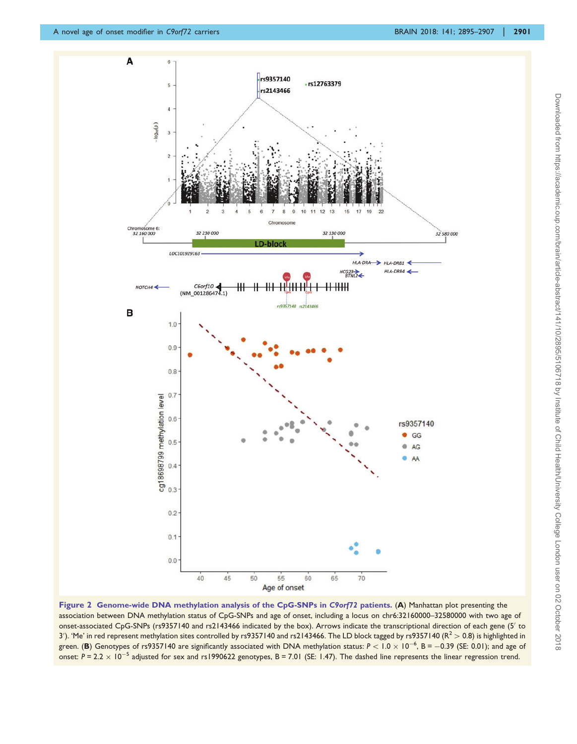<span id="page-6-0"></span>

Figure 2 Genome-wide DNA methylation analysis of the CpG-SNPs in C9orf72 patients. (A) Manhattan plot presenting the association between DNA methylation status of CpG-SNPs and age of onset, including a locus on chr6:32160000–32580000 with two age of onset-associated CpG-SNPs (rs9357140 and rs2143466 indicated by the box). Arrows indicate the transcriptional direction of each gene (5' to 3'). 'Me' in red represent methylation sites controlled by rs9357140 and rs2143466. The LD block tagged by rs9357140 (R<sup>2</sup>  $>$  0.8) is highlighted in green. (B) Genotypes of rs9357140 are significantly associated with DNA methylation status:  $P < 1.0 \times 10^{-6}$ , B = -0.39 (SE: 0.01); and age of onset:  $P = 2.2 \times 10^{-5}$  adjusted for sex and rs1990622 genotypes, B = 7.01 (SE: 1.47). The dashed line represents the linear regression trend.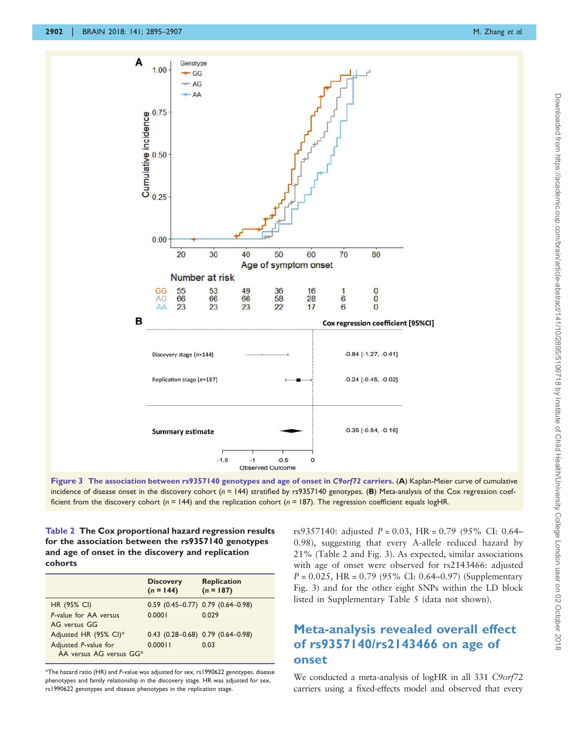<span id="page-7-0"></span>

Figure 3 The association between rs9357140 genotypes and age of onset in C9orf72 carriers. (A) Kaplan-Meier curve of cumulative incidence of disease onset in the discovery cohort ( $n = 144$ ) stratified by rs9357140 genotypes. (B) Meta-analysis of the Cox regression coefficient from the discovery cohort ( $n = 144$ ) and the replication cohort ( $n = 187$ ). The regression coefficient equals logHR.

Table 2 The Cox proportional hazard regression results for the association between the rs9357140 genotypes and age of onset in the discovery and replication cohorts

|                         | <b>Discovery</b><br>$(n = 144)$ | <b>Replication</b><br>$(n = 187)$         |
|-------------------------|---------------------------------|-------------------------------------------|
| HR (95% CI)             |                                 | $0.59$ $(0.45-0.77)$ $0.79$ $(0.64-0.98)$ |
| P-value for AA versus   | 0.0001                          | 0.029                                     |
| AG versus GG            |                                 |                                           |
| Adjusted HR (95% Cl)*   |                                 | $0.43$ (0.28-0.68) 0.79 (0.64-0.98)       |
| Adjusted P-value for    | 0.00011                         | 0.03                                      |
| AA versus AG versus GG* |                                 |                                           |

\*The hazard ratio (HR) and P-value was adjusted for sex, rs1990622 genotypes, disease phenotypes and family relationship in the discovery stage. HR was adjusted for sex, rs1990622 genotypes and disease phenotypes in the replication stage.

rs9357140: adjusted  $P = 0.03$ , HR = 0.79 (95% CI: 0.64– 0.98), suggesting that every A-allele reduced hazard by 21% (Table 2 and Fig. 3). As expected, similar associations with age of onset were observed for rs2143466: adjusted  $P = 0.025$ , HR = 0.79 (95% CI: 0.64–0.97) ([Supplementary](https://academic.oup.com/brainj/article-lookup/doi/10.1093/brainj/awy238#supplementary-data) [Fig. 3](https://academic.oup.com/brainj/article-lookup/doi/10.1093/brainj/awy238#supplementary-data)) and for the other eight SNPs within the LD block listed in [Supplementary Table 5](https://academic.oup.com/brainj/article-lookup/doi/10.1093/brainj/awy238#supplementary-data) (data not shown).

#### Meta-analysis revealed overall effect of rs9357140/rs2143466 on age of onset

We conducted a meta-analysis of logHR in all 331 C9orf72 carriers using a fixed-effects model and observed that every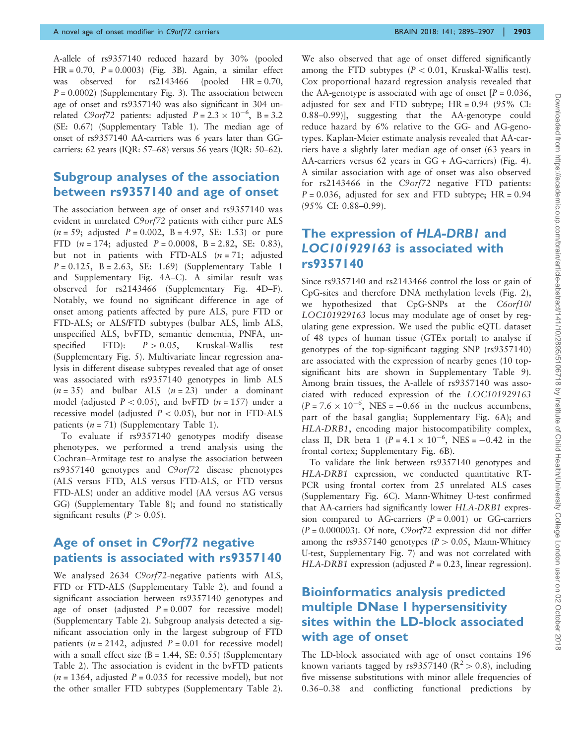A-allele of rs9357140 reduced hazard by 30% (pooled  $HR = 0.70$ ,  $P = 0.0003$  [\(Fig. 3B](#page-7-0)). Again, a similar effect was observed for  $rs2143466$  (pooled HR = 0.70,  $P = 0.0002$ ) [\(Supplementary Fig. 3](https://academic.oup.com/brainj/article-lookup/doi/10.1093/brainj/awy238#supplementary-data)). The association between age of onset and rs9357140 was also significant in 304 unrelated C9orf72 patients: adjusted  $P = 2.3 \times 10^{-6}$ , B = 3.2 (SE: 0.67) [\(Supplementary Table 1\)](https://academic.oup.com/brainj/article-lookup/doi/10.1093/brainj/awy238#supplementary-data). The median age of onset of rs9357140 AA-carriers was 6 years later than GGcarriers: 62 years (IQR: 57–68) versus 56 years (IQR: 50–62).

#### Subgroup analyses of the association between rs9357140 and age of onset

The association between age of onset and rs9357140 was evident in unrelated C9orf72 patients with either pure ALS  $(n = 59;$  adjusted  $P = 0.002$ ,  $B = 4.97$ , SE: 1.53) or pure FTD  $(n = 174;$  adjusted  $P = 0.0008$ ,  $B = 2.82$ , SE: 0.83), but not in patients with FTD-ALS  $(n = 71;$  adjusted  $P = 0.125$ ,  $B = 2.63$ , SE: 1.69) ([Supplementary Table 1](https://academic.oup.com/brainj/article-lookup/doi/10.1093/brainj/awy238#supplementary-data) and [Supplementary Fig. 4A](https://academic.oup.com/brainj/article-lookup/doi/10.1093/brainj/awy238#supplementary-data)–C). A similar result was observed for rs2143466 ([Supplementary Fig. 4D](https://academic.oup.com/brainj/article-lookup/doi/10.1093/brainj/awy238#supplementary-data)–F). Notably, we found no significant difference in age of onset among patients affected by pure ALS, pure FTD or FTD-ALS; or ALS/FTD subtypes (bulbar ALS, limb ALS, unspecified ALS, bvFTD, semantic dementia, PNFA, unspecified FTD):  $P > 0.05$ , Kruskal-Wallis test ([Supplementary Fig. 5](https://academic.oup.com/brainj/article-lookup/doi/10.1093/brainj/awy238#supplementary-data)). Multivariate linear regression analysis in different disease subtypes revealed that age of onset was associated with rs9357140 genotypes in limb ALS  $(n = 35)$  and bulbar ALS  $(n = 23)$  under a dominant model (adjusted  $P < 0.05$ ), and bvFTD (n = 157) under a recessive model (adjusted  $P < 0.05$ ), but not in FTD-ALS patients  $(n = 71)$  ([Supplementary Table 1\)](https://academic.oup.com/brainj/article-lookup/doi/10.1093/brainj/awy238#supplementary-data).

To evaluate if rs9357140 genotypes modify disease phenotypes, we performed a trend analysis using the Cochran–Armitage test to analyse the association between rs9357140 genotypes and C9orf72 disease phenotypes (ALS versus FTD, ALS versus FTD-ALS, or FTD versus FTD-ALS) under an additive model (AA versus AG versus GG) [\(Supplementary Table 8\)](https://academic.oup.com/brainj/article-lookup/doi/10.1093/brainj/awy238#supplementary-data); and found no statistically significant results  $(P > 0.05)$ .

#### Age of onset in C9orf72 negative patients is associated with rs9357140

We analysed 2634 C9orf72-negative patients with ALS, FTD or FTD-ALS ([Supplementary Table 2\)](https://academic.oup.com/brainj/article-lookup/doi/10.1093/brainj/awy238#supplementary-data), and found a significant association between rs9357140 genotypes and age of onset (adjusted  $P = 0.007$  for recessive model) ([Supplementary Table 2](https://academic.oup.com/brainj/article-lookup/doi/10.1093/brainj/awy238#supplementary-data)). Subgroup analysis detected a significant association only in the largest subgroup of FTD patients ( $n = 2142$ , adjusted  $P = 0.01$  for recessive model) with a small effect size  $(B = 1.44, SE: 0.55)$  [\(Supplementary](https://academic.oup.com/brainj/article-lookup/doi/10.1093/brainj/awy238#supplementary-data) [Table 2\)](https://academic.oup.com/brainj/article-lookup/doi/10.1093/brainj/awy238#supplementary-data). The association is evident in the bvFTD patients  $(n = 1364,$  adjusted  $P = 0.035$  for recessive model), but not the other smaller FTD subtypes ([Supplementary Table 2](https://academic.oup.com/brainj/article-lookup/doi/10.1093/brainj/awy238#supplementary-data)).

We also observed that age of onset differed significantly among the FTD subtypes  $(P < 0.01$ , Kruskal-Wallis test). Cox proportional hazard regression analysis revealed that the AA-genotype is associated with age of onset  $[P = 0.036,$ adjusted for sex and FTD subtype;  $HR = 0.94$  (95% CI: 0.88–0.99)], suggesting that the AA-genotype could reduce hazard by 6% relative to the GG- and AG-genotypes. Kaplan-Meier estimate analysis revealed that AA-carriers have a slightly later median age of onset (63 years in AA-carriers versus 62 years in GG + AG-carriers) ([Fig. 4\)](#page-9-0). A similar association with age of onset was also observed for rs2143466 in the C9orf72 negative FTD patients:  $P = 0.036$ , adjusted for sex and FTD subtype; HR = 0.94 (95% CI: 0.88–0.99).

#### The expression of HLA-DRB1 and LOC101929163 is associated with rs9357140

Since rs9357140 and rs2143466 control the loss or gain of CpG-sites and therefore DNA methylation levels ([Fig. 2\)](#page-6-0), we hypothesized that CpG-SNPs at the C6orf10/ LOC101929163 locus may modulate age of onset by regulating gene expression. We used the public eQTL dataset of 48 types of human tissue (GTEx portal) to analyse if genotypes of the top-significant tagging SNP (rs9357140) are associated with the expression of nearby genes (10 topsignificant hits are shown in [Supplementary Table 9\)](https://academic.oup.com/brainj/article-lookup/doi/10.1093/brainj/awy238#supplementary-data). Among brain tissues, the A-allele of rs9357140 was associated with reduced expression of the LOC101929163  $(P = 7.6 \times 10^{-6}$ , NES = -0.66 in the nucleus accumbens, part of the basal ganglia; [Supplementary Fig. 6](https://academic.oup.com/brainj/article-lookup/doi/10.1093/brainj/awy238#supplementary-data)A); and HLA-DRB1, encoding major histocompatibility complex, class II, DR beta 1 ( $P = 4.1 \times 10^{-6}$ , NES = -0.42 in the frontal cortex; [Supplementary Fig. 6B](https://academic.oup.com/brainj/article-lookup/doi/10.1093/brainj/awy238#supplementary-data)).

To validate the link between rs9357140 genotypes and HLA-DRB1 expression, we conducted quantitative RT-PCR using frontal cortex from 25 unrelated ALS cases [\(Supplementary Fig. 6C](https://academic.oup.com/brainj/article-lookup/doi/10.1093/brainj/awy238#supplementary-data)). Mann-Whitney U-test confirmed that AA-carriers had significantly lower HLA-DRB1 expression compared to AG-carriers  $(P = 0.001)$  or GG-carriers  $(P = 0.000003)$ . Of note, C $9$ orf $72$  expression did not differ among the rs9357140 genotypes ( $P > 0.05$ , Mann-Whitney U-test, [Supplementary Fig. 7](https://academic.oup.com/brainj/article-lookup/doi/10.1093/brainj/awy238#supplementary-data)) and was not correlated with  $HLA-DRB1$  expression (adjusted  $P = 0.23$ , linear regression).

#### Bioinformatics analysis predicted multiple DNase I hypersensitivity sites within the LD-block associated with age of onset

The LD-block associated with age of onset contains 196 known variants tagged by rs9357140 ( $\mathbb{R}^2$  > 0.8), including five missense substitutions with minor allele frequencies of 0.36–0.38 and conflicting functional predictions by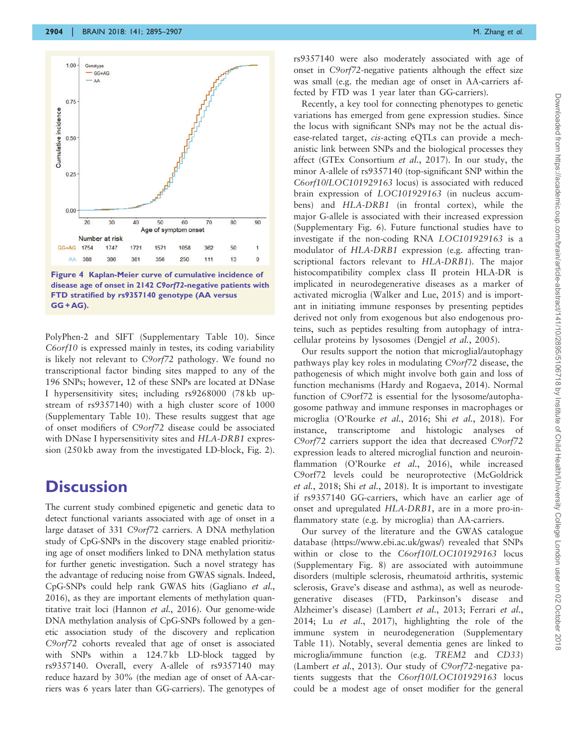<span id="page-9-0"></span>

PolyPhen-2 and SIFT ([Supplementary Table 10\)](https://academic.oup.com/brainj/article-lookup/doi/10.1093/brainj/awy238#supplementary-data). Since C6orf10 is expressed mainly in testes, its coding variability is likely not relevant to C9orf72 pathology. We found no transcriptional factor binding sites mapped to any of the 196 SNPs; however, 12 of these SNPs are located at DNase I hypersensitivity sites; including rs9268000 (78 kb upstream of rs9357140) with a high cluster score of 1000 [\(Supplementary Table 10\)](https://academic.oup.com/brainj/article-lookup/doi/10.1093/brainj/awy238#supplementary-data). These results suggest that age of onset modifiers of C9orf72 disease could be associated with DNase I hypersensitivity sites and HLA-DRB1 expression (250 kb away from the investigated LD-block, [Fig. 2\)](#page-6-0).

### **Discussion**

The current study combined epigenetic and genetic data to detect functional variants associated with age of onset in a large dataset of 331 C9orf72 carriers. A DNA methylation study of CpG-SNPs in the discovery stage enabled prioritizing age of onset modifiers linked to DNA methylation status for further genetic investigation. Such a novel strategy has the advantage of reducing noise from GWAS signals. Indeed, CpG-SNPs could help rank GWAS hits ([Gagliano](#page-12-0) et al., [2016\)](#page-12-0), as they are important elements of methylation quantitative trait loci ([Hannon](#page-12-0) et al., 2016). Our genome-wide DNA methylation analysis of CpG-SNPs followed by a genetic association study of the discovery and replication C9orf72 cohorts revealed that age of onset is associated with SNPs within a 124.7 kb LD-block tagged by rs9357140. Overall, every A-allele of rs9357140 may reduce hazard by 30% (the median age of onset of AA-carriers was 6 years later than GG-carriers). The genotypes of rs9357140 were also moderately associated with age of onset in C9orf72-negative patients although the effect size was small (e.g. the median age of onset in AA-carriers affected by FTD was 1 year later than GG-carriers).

Recently, a key tool for connecting phenotypes to genetic variations has emerged from gene expression studies. Since the locus with significant SNPs may not be the actual disease-related target, cis-acting eQTLs can provide a mechanistic link between SNPs and the biological processes they affect ([GTEx Consortium](#page-11-0) et al., 2017). In our study, the minor A-allele of rs9357140 (top-significant SNP within the C6orf10/LOC101929163 locus) is associated with reduced brain expression of LOC101929163 (in nucleus accumbens) and HLA-DRB1 (in frontal cortex), while the major G-allele is associated with their increased expression [\(Supplementary Fig. 6](https://academic.oup.com/brainj/article-lookup/doi/10.1093/brainj/awy238#supplementary-data)). Future functional studies have to investigate if the non-coding RNA LOC101929163 is a modulator of HLA-DRB1 expression (e.g. affecting transcriptional factors relevant to HLA-DRB1). The major histocompatibility complex class II protein HLA-DR is implicated in neurodegenerative diseases as a marker of activated microglia [\(Walker and Lue, 2015](#page-12-0)) and is important in initiating immune responses by presenting peptides derived not only from exogenous but also endogenous proteins, such as peptides resulting from autophagy of intracellular proteins by lysosomes [\(Dengjel](#page-11-0) et al., 2005).

Our results support the notion that microglial/autophagy pathways play key roles in modulating C9orf72 disease, the pathogenesis of which might involve both gain and loss of function mechanisms ([Hardy and Rogaeva, 2014](#page-12-0)). Normal function of C9orf72 is essential for the lysosome/autophagosome pathway and immune responses in macrophages or microglia [\(O'Rourke](#page-12-0) et al., 2016; Shi et al.[, 2018](#page-12-0)). For instance, transcriptome and histologic analyses of C9orf72 carriers support the idea that decreased C9orf72 expression leads to altered microglial function and neuroin-flammation ([O'Rourke](#page-12-0) et al., 2016), while increased C9orf72 levels could be neuroprotective [\(McGoldrick](#page-12-0) et al.[, 2018;](#page-12-0) Shi et al.[, 2018](#page-12-0)). It is important to investigate if rs9357140 GG-carriers, which have an earlier age of onset and upregulated HLA-DRB1, are in a more pro-inflammatory state (e.g. by microglia) than AA-carriers.

Our survey of the literature and the GWAS catalogue database (<https://www.ebi.ac.uk/gwas/>) revealed that SNPs within or close to the C6orf10/LOC101929163 locus [\(Supplementary Fig. 8](https://academic.oup.com/brainj/article-lookup/doi/10.1093/brainj/awy238#supplementary-data)) are associated with autoimmune disorders (multiple sclerosis, rheumatoid arthritis, systemic sclerosis, Grave's disease and asthma), as well as neurodegenerative diseases (FTD, Parkinson's disease and Alzheimer's disease) ([Lambert](#page-12-0) et al., 2013; [Ferrari](#page-12-0) et al., [2014;](#page-12-0) Lu et al.[, 2017](#page-12-0)), highlighting the role of the immune system in neurodegeneration ([Supplementary](https://academic.oup.com/brainj/article-lookup/doi/10.1093/brainj/awy238#supplementary-data) [Table 11\)](https://academic.oup.com/brainj/article-lookup/doi/10.1093/brainj/awy238#supplementary-data). Notably, several dementia genes are linked to microglia/immune function (e.g. TREM2 and CD33) [\(Lambert](#page-12-0) et al., 2013). Our study of C9orf72-negative patients suggests that the C6orf10/LOC101929163 locus could be a modest age of onset modifier for the general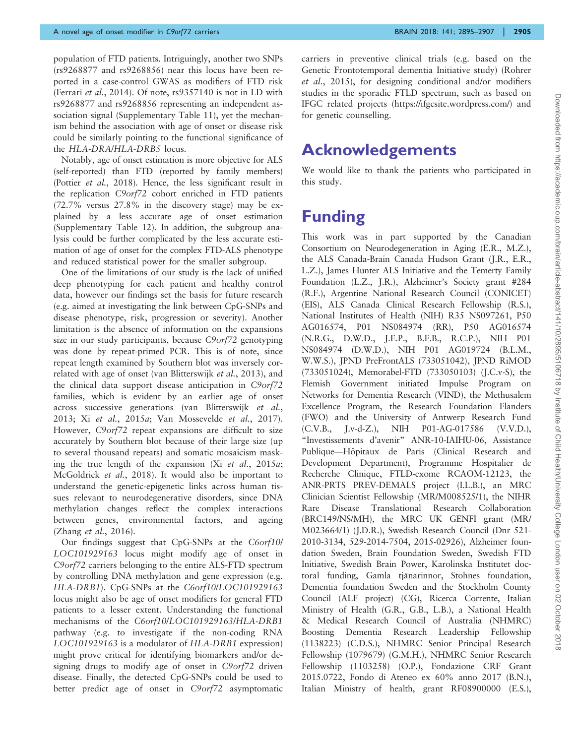population of FTD patients. Intriguingly, another two SNPs (rs9268877 and rs9268856) near this locus have been reported in a case-control GWAS as modifiers of FTD risk ([Ferrari](#page-12-0) et al., 2014). Of note, rs9357140 is not in LD with rs9268877 and rs9268856 representing an independent as-sociation signal [\(Supplementary Table 11](https://academic.oup.com/brainj/article-lookup/doi/10.1093/brainj/awy238#supplementary-data)), yet the mechanism behind the association with age of onset or disease risk could be similarly pointing to the functional significance of the HLA-DRA/HLA-DRB5 locus.

Notably, age of onset estimation is more objective for ALS (self-reported) than FTD (reported by family members) (Pottier et al.[, 2018](#page-12-0)). Hence, the less significant result in the replication C9orf72 cohort enriched in FTD patients (72.7% versus 27.8% in the discovery stage) may be explained by a less accurate age of onset estimation ([Supplementary Table 12](https://academic.oup.com/brainj/article-lookup/doi/10.1093/brainj/awy238#supplementary-data)). In addition, the subgroup analysis could be further complicated by the less accurate estimation of age of onset for the complex FTD-ALS phenotype and reduced statistical power for the smaller subgroup.

One of the limitations of our study is the lack of unified deep phenotyping for each patient and healthy control data, however our findings set the basis for future research (e.g. aimed at investigating the link between CpG-SNPs and disease phenotype, risk, progression or severity). Another limitation is the absence of information on the expansions size in our study participants, because C9orf72 genotyping was done by repeat-primed PCR. This is of note, since repeat length examined by Southern blot was inversely correlated with age of onset ([van Blitterswijk](#page-12-0) et al., 2013), and the clinical data support disease anticipation in C9orf72 families, which is evident by an earlier age of onset across successive generations ([van Blitterswijk](#page-12-0) et al., [2013;](#page-12-0) Xi et al.[, 2015](#page-12-0)a; [Van Mossevelde](#page-12-0) et al., 2017). However, C9orf72 repeat expansions are difficult to size accurately by Southern blot because of their large size (up to several thousand repeats) and somatic mosaicism masking the true length of the expansion (Xi et al.,  $2015a$ ; [McGoldrick](#page-12-0) et al., 2018). It would also be important to understand the genetic-epigenetic links across human tissues relevant to neurodegenerative disorders, since DNA methylation changes reflect the complex interactions between genes, environmental factors, and ageing (Zhang et al.[, 2016](#page-12-0)).

Our findings suggest that CpG-SNPs at the C6orf10/ LOC101929163 locus might modify age of onset in C9orf72 carriers belonging to the entire ALS-FTD spectrum by controlling DNA methylation and gene expression (e.g. HLA-DRB1). CpG-SNPs at the C6orf10/LOC101929163 locus might also be age of onset modifiers for general FTD patients to a lesser extent. Understanding the functional mechanisms of the C6orf10/LOC101929163/HLA-DRB1 pathway (e.g. to investigate if the non-coding RNA LOC101929163 is a modulator of HLA-DRB1 expression) might prove critical for identifying biomarkers and/or designing drugs to modify age of onset in C9orf72 driven disease. Finally, the detected CpG-SNPs could be used to better predict age of onset in C9orf72 asymptomatic

carriers in preventive clinical trials (e.g. based on the Genetic Frontotemporal dementia Initiative study) ([Rohrer](#page-12-0) et al.[, 2015\)](#page-12-0), for designing conditional and/or modifiers studies in the sporadic FTLD spectrum, such as based on IFGC related projects [\(https://ifgcsite.wordpress.com/\)](https://ifgcsite.wordpress.com/) and for genetic counselling.

### Acknowledgements

We would like to thank the patients who participated in this study.

## Funding

This work was in part supported by the Canadian Consortium on Neurodegeneration in Aging (E.R., M.Z.), the ALS Canada-Brain Canada Hudson Grant (J.R., E.R., L.Z.), James Hunter ALS Initiative and the Temerty Family Foundation (L.Z., J.R.), Alzheimer's Society grant #284 (R.F.), Argentine National Research Council (CONICET) (EIS), ALS Canada Clinical Research Fellowship (R.S.), National Institutes of Health (NIH) R35 NS097261, P50 AG016574, P01 NS084974 (RR), P50 AG016574 (N.R.G., D.W.D., J.E.P., B.F.B., R.C.P.), NIH P01 NS084974 (D.W.D.), NIH P01 AG019724 (B.L.M., W.W.S.), JPND PreFrontALS (733051042), JPND RiMOD (733051024), Memorabel-FTD (733050103) (J.C.v-S), the Flemish Government initiated Impulse Program on Networks for Dementia Research (VIND), the Methusalem Excellence Program, the Research Foundation Flanders (FWO) and the University of Antwerp Research Fund (C.V.B., J.v-d-Z.), NIH P01-AG-017586 (V.V.D.), "Investissements d'avenir" ANR-10-IAIHU-06, Assistance Publique—Hôpitaux de Paris (Clinical Research and Development Department), Programme Hospitalier de Recherche Clinique, FTLD-exome RCAOM-12123, the ANR-PRTS PREV-DEMALS project (I.L.B.), an MRC Clinician Scientist Fellowship (MR/M008525/1), the NIHR Rare Disease Translational Research Collaboration (BRC149/NS/MH), the MRC UK GENFI grant (MR/ M023664/1) (J.D.R.), Swedish Research Council (Dnr 521- 2010-3134, 529-2014-7504, 2015-02926), Alzheimer foundation Sweden, Brain Foundation Sweden, Swedish FTD Initiative, Swedish Brain Power, Karolinska Institutet doctoral funding, Gamla tjänarinnor, Stohnes foundation, Dementia foundation Sweden and the Stockholm County Council (ALF project) (CG), Ricerca Corrente, Italian Ministry of Health (G.R., G.B., L.B.), a National Health & Medical Research Council of Australia (NHMRC) Boosting Dementia Research Leadership Fellowship (1138223) (C.D.S.), NHMRC Senior Principal Research Fellowship (1079679) (G.M.H.), NHMRC Senior Research Fellowship (1103258) (O.P.), Fondazione CRF Grant 2015.0722, Fondo di Ateneo ex 60% anno 2017 (B.N.), Italian Ministry of health, grant RF08900000 (E.S.),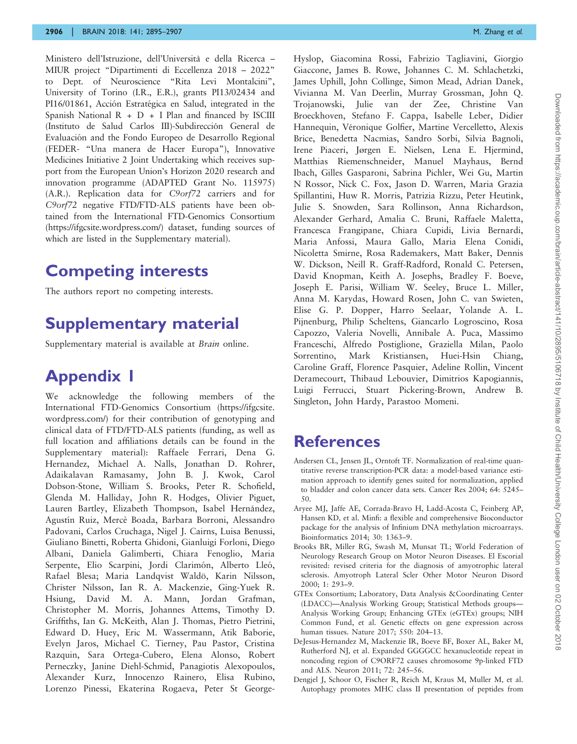<span id="page-11-0"></span>Ministero dell'Istruzione, dell'Universita` e della Ricerca – MIUR project "Dipartimenti di Eccellenza 2018 – 2022" to Dept. of Neuroscience "Rita Levi Montalcini", University of Torino (I.R., E.R.), grants PI13/02434 and PI16/01861, Acción Estratégica en Salud, integrated in the Spanish National  $R + D + I$  Plan and financed by ISCIII (Instituto de Salud Carlos III)-Subdirección General de Evaluación and the Fondo Europeo de Desarrollo Regional (FEDER- "Una manera de Hacer Europa"), Innovative Medicines Initiative 2 Joint Undertaking which receives support from the European Union's Horizon 2020 research and innovation programme (ADAPTED Grant No. 115975) (A.R.). Replication data for C9orf72 carriers and for C9orf72 negative FTD/FTD-ALS patients have been obtained from the International FTD-Genomics Consortium (https://ifgcsite.wordpress.com/) dataset, funding sources of which are listed in the [Supplementary material](https://academic.oup.com/brainj/article-lookup/doi/10.1093/brainj/awy238#supplementary-data)).

### Competing interests

The authors report no competing interests.

### Supplementary material

[Supplementary material](https://academic.oup.com/brainj/article-lookup/doi/10.1093/brainj/awy238#supplementary-data) is available at Brain online.

### Appendix 1

We acknowledge the following members of the International FTD-Genomics Consortium ([https://ifgcsite.](https://ifgcsite.wordpress.com/) [wordpress.com/](https://ifgcsite.wordpress.com/)) for their contribution of genotyping and clinical data of FTD/FTD-ALS patients (funding, as well as full location and affiliations details can be found in the [Supplementary material\)](https://academic.oup.com/brainj/article-lookup/doi/10.1093/brainj/awy238#supplementary-data): Raffaele Ferrari, Dena G. Hernandez, Michael A. Nalls, Jonathan D. Rohrer, Adaikalavan Ramasamy, John B. J. Kwok, Carol Dobson-Stone, William S. Brooks, Peter R. Schofield, Glenda M. Halliday, John R. Hodges, Olivier Piguet, Lauren Bartley, Elizabeth Thompson, Isabel Hernández, Agustín Ruiz, Mercè Boada, Barbara Borroni, Alessandro Padovani, Carlos Cruchaga, Nigel J. Cairns, Luisa Benussi, Giuliano Binetti, Roberta Ghidoni, Gianluigi Forloni, Diego Albani, Daniela Galimberti, Chiara Fenoglio, Maria Serpente, Elio Scarpini, Jordi Clarimón, Alberto Lleó, Rafael Blesa; Maria Landqvist Waldö, Karin Nilsson, Christer Nilsson, Ian R. A. Mackenzie, Ging-Yuek R. Hsiung, David M. A. Mann, Jordan Grafman, Christopher M. Morris, Johannes Attems, Timothy D. Griffiths, Ian G. McKeith, Alan J. Thomas, Pietro Pietrini, Edward D. Huey, Eric M. Wassermann, Atik Baborie, Evelyn Jaros, Michael C. Tierney, Pau Pastor, Cristina Razquin, Sara Ortega-Cubero, Elena Alonso, Robert Perneczky, Janine Diehl-Schmid, Panagiotis Alexopoulos, Alexander Kurz, Innocenzo Rainero, Elisa Rubino, Lorenzo Pinessi, Ekaterina Rogaeva, Peter St GeorgeHyslop, Giacomina Rossi, Fabrizio Tagliavini, Giorgio Giaccone, James B. Rowe, Johannes C. M. Schlachetzki, James Uphill, John Collinge, Simon Mead, Adrian Danek, Vivianna M. Van Deerlin, Murray Grossman, John Q. Trojanowski, Julie van der Zee, Christine Van Broeckhoven, Stefano F. Cappa, Isabelle Leber, Didier Hannequin, Véronique Golfier, Martine Vercelletto, Alexis Brice, Benedetta Nacmias, Sandro Sorbi, Silvia Bagnoli, Irene Piaceri, Jørgen E. Nielsen, Lena E. Hjermind, Matthias Riemenschneider, Manuel Mayhaus, Bernd Ibach, Gilles Gasparoni, Sabrina Pichler, Wei Gu, Martin N Rossor, Nick C. Fox, Jason D. Warren, Maria Grazia Spillantini, Huw R. Morris, Patrizia Rizzu, Peter Heutink, Julie S. Snowden, Sara Rollinson, Anna Richardson, Alexander Gerhard, Amalia C. Bruni, Raffaele Maletta, Francesca Frangipane, Chiara Cupidi, Livia Bernardi, Maria Anfossi, Maura Gallo, Maria Elena Conidi, Nicoletta Smirne, Rosa Rademakers, Matt Baker, Dennis W. Dickson, Neill R. Graff-Radford, Ronald C. Petersen, David Knopman, Keith A. Josephs, Bradley F. Boeve, Joseph E. Parisi, William W. Seeley, Bruce L. Miller, Anna M. Karydas, Howard Rosen, John C. van Swieten, Elise G. P. Dopper, Harro Seelaar, Yolande A. L. Pijnenburg, Philip Scheltens, Giancarlo Logroscino, Rosa Capozzo, Valeria Novelli, Annibale A. Puca, Massimo Franceschi, Alfredo Postiglione, Graziella Milan, Paolo Sorrentino, Mark Kristiansen, Huei-Hsin Chiang, Caroline Graff, Florence Pasquier, Adeline Rollin, Vincent Deramecourt, Thibaud Lebouvier, Dimitrios Kapogiannis, Luigi Ferrucci, Stuart Pickering-Brown, Andrew B. Singleton, John Hardy, Parastoo Momeni.

### References

- Andersen CL, Jensen JL, Orntoft TF. Normalization of real-time quantitative reverse transcription-PCR data: a model-based variance estimation approach to identify genes suited for normalization, applied to bladder and colon cancer data sets. Cancer Res 2004; 64: 5245– 50.
- Aryee MJ, Jaffe AE, Corrada-Bravo H, Ladd-Acosta C, Feinberg AP, Hansen KD, et al. Minfi: a flexible and comprehensive Bioconductor package for the analysis of Infinium DNA methylation microarrays. Bioinformatics 2014; 30: 1363–9.
- Brooks BR, Miller RG, Swash M, Munsat TL; World Federation of Neurology Research Group on Motor Neuron Diseases. El Escorial revisited: revised criteria for the diagnosis of amyotrophic lateral sclerosis. Amyotroph Lateral Scler Other Motor Neuron Disord 2000; 1: 293–9.
- GTEx Consortium; Laboratory, Data Analysis &Coordinating Center (LDACC)—Analysis Working Group; Statistical Methods groups— Analysis Working Group; Enhancing GTEx (eGTEx) groups; NIH Common Fund, et al. Genetic effects on gene expression across human tissues. Nature 2017; 550: 204–13.
- DeJesus-Hernandez M, Mackenzie IR, Boeve BF, Boxer AL, Baker M, Rutherford NJ, et al. Expanded GGGGCC hexanucleotide repeat in noncoding region of C9ORF72 causes chromosome 9p-linked FTD and ALS. Neuron 2011; 72: 245–56.
- Dengjel J, Schoor O, Fischer R, Reich M, Kraus M, Muller M, et al. Autophagy promotes MHC class II presentation of peptides from